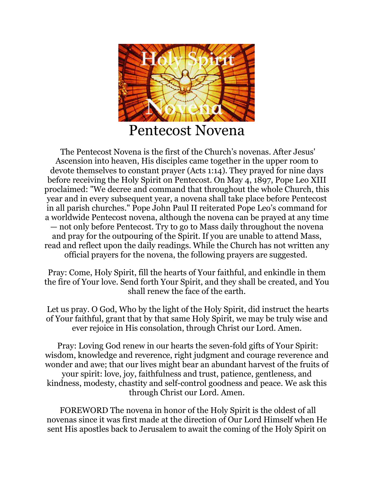

The Pentecost Novena is the first of the Church's novenas. After Jesus' Ascension into heaven, His disciples came together in the upper room to devote themselves to constant prayer (Acts 1:14). They prayed for nine days before receiving the Holy Spirit on Pentecost. On May 4, 1897, Pope Leo XIII proclaimed: "We decree and command that throughout the whole Church, this year and in every subsequent year, a novena shall take place before Pentecost in all parish churches." Pope John Paul II reiterated Pope Leo's command for a worldwide Pentecost novena, although the novena can be prayed at any time — not only before Pentecost. Try to go to Mass daily throughout the novena and pray for the outpouring of the Spirit. If you are unable to attend Mass, read and reflect upon the daily readings. While the Church has not written any official prayers for the novena, the following prayers are suggested.

Pray: Come, Holy Spirit, fill the hearts of Your faithful, and enkindle in them the fire of Your love. Send forth Your Spirit, and they shall be created, and You shall renew the face of the earth.

Let us pray. O God, Who by the light of the Holy Spirit, did instruct the hearts of Your faithful, grant that by that same Holy Spirit, we may be truly wise and ever rejoice in His consolation, through Christ our Lord. Amen.

Pray: Loving God renew in our hearts the seven-fold gifts of Your Spirit: wisdom, knowledge and reverence, right judgment and courage reverence and wonder and awe; that our lives might bear an abundant harvest of the fruits of your spirit: love, joy, faithfulness and trust, patience, gentleness, and kindness, modesty, chastity and self-control goodness and peace. We ask this through Christ our Lord. Amen.

FOREWORD The novena in honor of the Holy Spirit is the oldest of all novenas since it was first made at the direction of Our Lord Himself when He sent His apostles back to Jerusalem to await the coming of the Holy Spirit on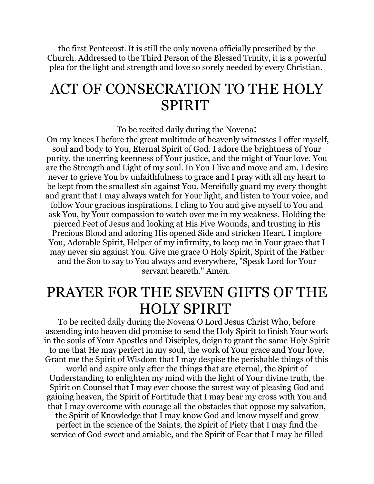the first Pentecost. It is still the only novena officially prescribed by the Church. Addressed to the Third Person of the Blessed Trinity, it is a powerful plea for the light and strength and love so sorely needed by every Christian.

#### ACT OF CONSECRATION TO THE HOLY SPIRIT

To be recited daily during the Novena:

On my knees I before the great multitude of heavenly witnesses I offer myself, soul and body to You, Eternal Spirit of God. I adore the brightness of Your purity, the unerring keenness of Your justice, and the might of Your love. You are the Strength and Light of my soul. In You I live and move and am. I desire never to grieve You by unfaithfulness to grace and I pray with all my heart to be kept from the smallest sin against You. Mercifully guard my every thought and grant that I may always watch for Your light, and listen to Your voice, and follow Your gracious inspirations. I cling to You and give myself to You and ask You, by Your compassion to watch over me in my weakness. Holding the pierced Feet of Jesus and looking at His Five Wounds, and trusting in His Precious Blood and adoring His opened Side and stricken Heart, I implore You, Adorable Spirit, Helper of my infirmity, to keep me in Your grace that I may never sin against You. Give me grace O Holy Spirit, Spirit of the Father and the Son to say to You always and everywhere, "Speak Lord for Your servant heareth." Amen.

#### PRAYER FOR THE SEVEN GIFTS OF THE HOLY SPIRIT

To be recited daily during the Novena O Lord Jesus Christ Who, before ascending into heaven did promise to send the Holy Spirit to finish Your work in the souls of Your Apostles and Disciples, deign to grant the same Holy Spirit to me that He may perfect in my soul, the work of Your grace and Your love. Grant me the Spirit of Wisdom that I may despise the perishable things of this world and aspire only after the things that are eternal, the Spirit of Understanding to enlighten my mind with the light of Your divine truth, the Spirit on Counsel that I may ever choose the surest way of pleasing God and gaining heaven, the Spirit of Fortitude that I may bear my cross with You and that I may overcome with courage all the obstacles that oppose my salvation, the Spirit of Knowledge that I may know God and know myself and grow perfect in the science of the Saints, the Spirit of Piety that I may find the service of God sweet and amiable, and the Spirit of Fear that I may be filled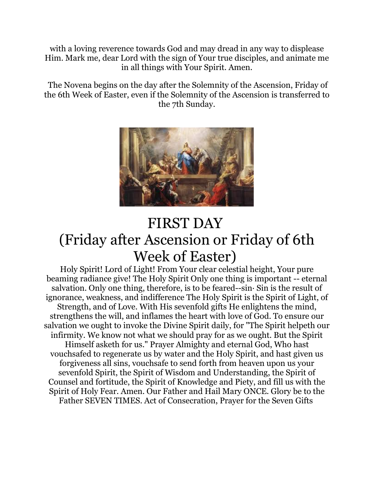with a loving reverence towards God and may dread in any way to displease Him. Mark me, dear Lord with the sign of Your true disciples, and animate me in all things with Your Spirit. Amen.

The Novena begins on the day after the Solemnity of the Ascension, Friday of the 6th Week of Easter, even if the Solemnity of the Ascension is transferred to the 7th Sunday.



# FIRST DAY (Friday after Ascension or Friday of 6th Week of Easter)

Holy Spirit! Lord of Light! From Your clear celestial height, Your pure beaming radiance give! The Holy Spirit Only one thing is important -- eternal salvation. Only one thing, therefore, is to be feared--sin· Sin is the result of ignorance, weakness, and indifference The Holy Spirit is the Spirit of Light, of Strength, and of Love. With His sevenfold gifts He enlightens the mind, strengthens the will, and inflames the heart with love of God. To ensure our salvation we ought to invoke the Divine Spirit daily, for "The Spirit helpeth our infirmity. We know not what we should pray for as we ought. But the Spirit Himself asketh for us." Prayer Almighty and eternal God, Who hast vouchsafed to regenerate us by water and the Holy Spirit, and hast given us forgiveness all sins, vouchsafe to send forth from heaven upon us your sevenfold Spirit, the Spirit of Wisdom and Understanding, the Spirit of Counsel and fortitude, the Spirit of Knowledge and Piety, and fill us with the Spirit of Holy Fear. Amen. Our Father and Hail Mary ONCE. Glory be to the Father SEVEN TIMES. Act of Consecration, Prayer for the Seven Gifts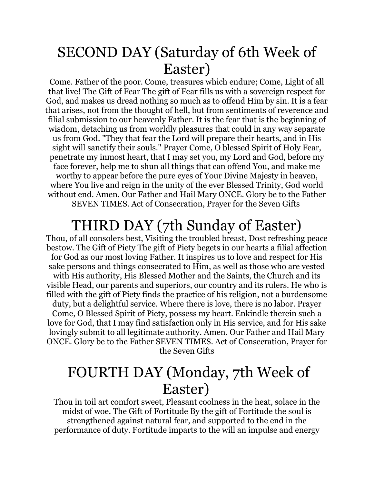## SECOND DAY (Saturday of 6th Week of Easter)

Come. Father of the poor. Come, treasures which endure; Come, Light of all that live! The Gift of Fear The gift of Fear fills us with a sovereign respect for God, and makes us dread nothing so much as to offend Him by sin. It is a fear that arises, not from the thought of hell, but from sentiments of reverence and filial submission to our heavenly Father. It is the fear that is the beginning of wisdom, detaching us from worldly pleasures that could in any way separate us from God. "They that fear the Lord will prepare their hearts, and in His sight will sanctify their souls." Prayer Come, O blessed Spirit of Holy Fear, penetrate my inmost heart, that I may set you, my Lord and God, before my face forever, help me to shun all things that can offend You, and make me worthy to appear before the pure eyes of Your Divine Majesty in heaven, where You live and reign in the unity of the ever Blessed Trinity, God world without end. Amen. Our Father and Hail Mary ONCE. Glory be to the Father SEVEN TIMES. Act of Consecration, Prayer for the Seven Gifts

# THIRD DAY (7th Sunday of Easter)

Thou, of all consolers best, Visiting the troubled breast, Dost refreshing peace bestow. The Gift of Piety The gift of Piety begets in our hearts a filial affection for God as our most loving Father. It inspires us to love and respect for His sake persons and things consecrated to Him, as well as those who are vested with His authority, His Blessed Mother and the Saints, the Church and its visible Head, our parents and superiors, our country and its rulers. He who is filled with the gift of Piety finds the practice of his religion, not a burdensome duty, but a delightful service. Where there is love, there is no labor. Prayer Come, O Blessed Spirit of Piety, possess my heart. Enkindle therein such a love for God, that I may find satisfaction only in His service, and for His sake lovingly submit to all legitimate authority. Amen. Our Father and Hail Mary ONCE. Glory be to the Father SEVEN TIMES. Act of Consecration, Prayer for the Seven Gifts

## FOURTH DAY (Monday, 7th Week of Easter)

Thou in toil art comfort sweet, Pleasant coolness in the heat, solace in the midst of woe. The Gift of Fortitude By the gift of Fortitude the soul is strengthened against natural fear, and supported to the end in the performance of duty. Fortitude imparts to the will an impulse and energy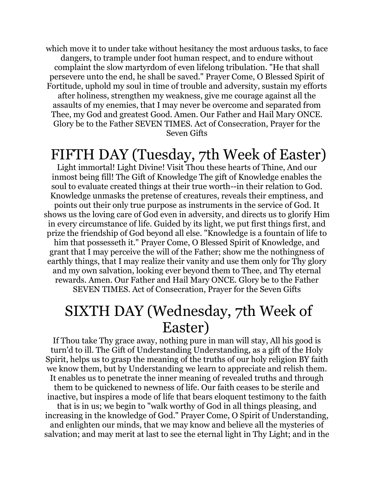which move it to under take without hesitancy the most arduous tasks, to face dangers, to trample under foot human respect, and to endure without complaint the slow martyrdom of even lifelong tribulation. "He that shall persevere unto the end, he shall be saved." Prayer Come, O Blessed Spirit of Fortitude, uphold my soul in time of trouble and adversity, sustain my efforts after holiness, strengthen my weakness, give me courage against all the assaults of my enemies, that I may never be overcome and separated from Thee, my God and greatest Good. Amen. Our Father and Hail Mary ONCE. Glory be to the Father SEVEN TIMES. Act of Consecration, Prayer for the Seven Gifts

#### FIFTH DAY (Tuesday, 7th Week of Easter)

Light immortal! Light Divine! Visit Thou these hearts of Thine, And our inmost being fill! The Gift of Knowledge The gift of Knowledge enables the soul to evaluate created things at their true worth--in their relation to God. Knowledge unmasks the pretense of creatures, reveals their emptiness, and points out their only true purpose as instruments in the service of God. It shows us the loving care of God even in adversity, and directs us to glorify Him in every circumstance of life. Guided by its light, we put first things first, and prize the friendship of God beyond all else. "Knowledge is a fountain of life to him that possesseth it." Prayer Come, O Blessed Spirit of Knowledge, and grant that I may perceive the will of the Father; show me the nothingness of earthly things, that I may realize their vanity and use them only for Thy glory and my own salvation, looking ever beyond them to Thee, and Thy eternal rewards. Amen. Our Father and Hail Mary ONCE. Glory be to the Father SEVEN TIMES. Act of Consecration, Prayer for the Seven Gifts

## SIXTH DAY (Wednesday, 7th Week of Easter)

If Thou take Thy grace away, nothing pure in man will stay, All his good is turn'd to ill. The Gift of Understanding Understanding, as a gift of the Holy Spirit, helps us to grasp the meaning of the truths of our holy religion BY faith we know them, but by Understanding we learn to appreciate and relish them. It enables us to penetrate the inner meaning of revealed truths and through them to be quickened to newness of life. Our faith ceases to be sterile and inactive, but inspires a mode of life that bears eloquent testimony to the faith that is in us; we begin to "walk worthy of God in all things pleasing, and increasing in the knowledge of God." Prayer Come, O Spirit of Understanding, and enlighten our minds, that we may know and believe all the mysteries of salvation; and may merit at last to see the eternal light in Thy Light; and in the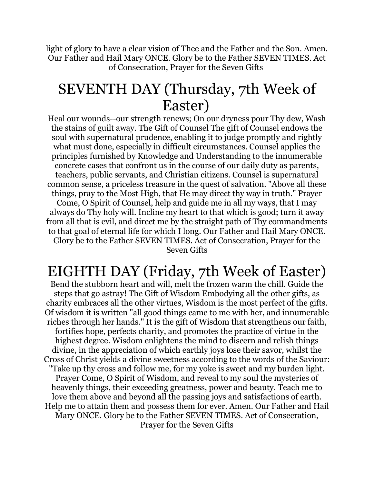light of glory to have a clear vision of Thee and the Father and the Son. Amen. Our Father and Hail Mary ONCE. Glory be to the Father SEVEN TIMES. Act of Consecration, Prayer for the Seven Gifts

## SEVENTH DAY (Thursday, 7th Week of Easter)

Heal our wounds--our strength renews; On our dryness pour Thy dew, Wash the stains of guilt away. The Gift of Counsel The gift of Counsel endows the soul with supernatural prudence, enabling it to judge promptly and rightly what must done, especially in difficult circumstances. Counsel applies the principles furnished by Knowledge and Understanding to the innumerable concrete cases that confront us in the course of our daily duty as parents, teachers, public servants, and Christian citizens. Counsel is supernatural common sense, a priceless treasure in the quest of salvation. "Above all these things, pray to the Most High, that He may direct thy way in truth." Prayer Come, O Spirit of Counsel, help and guide me in all my ways, that I may always do Thy holy will. Incline my heart to that which is good; turn it away from all that is evil, and direct me by the straight path of Thy commandments to that goal of eternal life for which I long. Our Father and Hail Mary ONCE. Glory be to the Father SEVEN TIMES. Act of Consecration, Prayer for the Seven Gifts

## EIGHTH DAY (Friday, 7th Week of Easter)

Bend the stubborn heart and will, melt the frozen warm the chill. Guide the steps that go astray! The Gift of Wisdom Embodying all the other gifts, as charity embraces all the other virtues, Wisdom is the most perfect of the gifts. Of wisdom it is written "all good things came to me with her, and innumerable riches through her hands." It is the gift of Wisdom that strengthens our faith, fortifies hope, perfects charity, and promotes the practice of virtue in the highest degree. Wisdom enlightens the mind to discern and relish things divine, in the appreciation of which earthly joys lose their savor, whilst the Cross of Christ yields a divine sweetness according to the words of the Saviour: "Take up thy cross and follow me, for my yoke is sweet and my burden light. Prayer Come, O Spirit of Wisdom, and reveal to my soul the mysteries of heavenly things, their exceeding greatness, power and beauty. Teach me to love them above and beyond all the passing joys and satisfactions of earth. Help me to attain them and possess them for ever. Amen. Our Father and Hail Mary ONCE. Glory be to the Father SEVEN TIMES. Act of Consecration, Prayer for the Seven Gifts